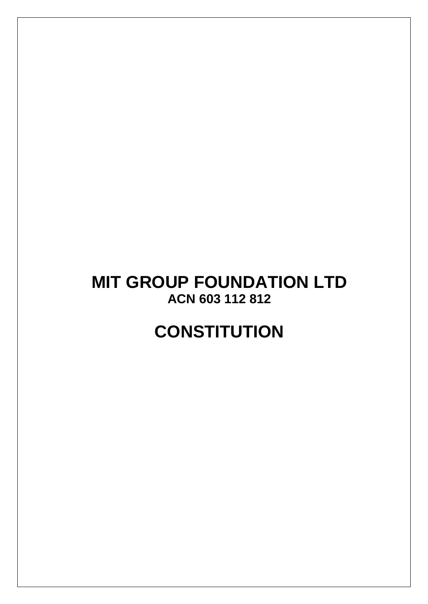# **MIT GROUP FOUNDATION LTD ACN 603 112 812**

# **CONSTITUTION**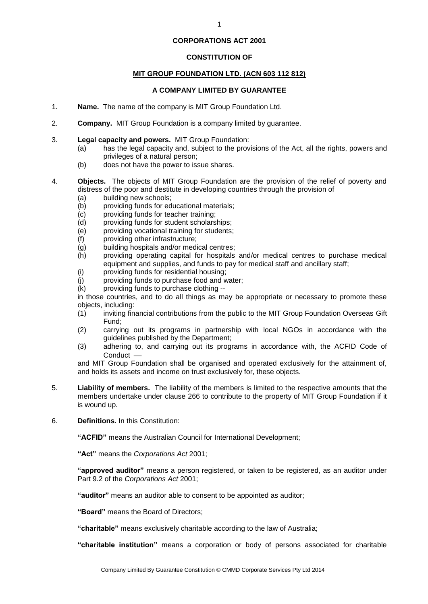#### **CORPORATIONS ACT 2001**

# **CONSTITUTION OF**

# **MIT GROUP FOUNDATION LTD. (ACN 603 112 812)**

# **A COMPANY LIMITED BY GUARANTEE**

- 1. **Name.** The name of the company is MIT Group Foundation Ltd.
- 2. **Company.** MIT Group Foundation is a company limited by guarantee.
- 3. **Legal capacity and powers.** MIT Group Foundation:
	- (a) has the legal capacity and, subject to the provisions of the Act, all the rights, powers and privileges of a natural person;
	- (b) does not have the power to issue shares.
- 4. **Objects.** The objects of MIT Group Foundation are the provision of the relief of poverty and distress of the poor and destitute in developing countries through the provision of
	- (a) building new schools;
	- (b) providing funds for educational materials;
	- (c) providing funds for teacher training;
	- (d) providing funds for student scholarships;
	- (e) providing vocational training for students;
	- (f) providing other infrastructure;
	- (g) building hospitals and/or medical centres;
	- (h) providing operating capital for hospitals and/or medical centres to purchase medical equipment and supplies, and funds to pay for medical staff and ancillary staff;
	- (i) providing funds for residential housing;
	- (j) providing funds to purchase food and water;
	- (k) providing funds to purchase clothing --

in those countries, and to do all things as may be appropriate or necessary to promote these objects, including:

- (1) inviting financial contributions from the public to the MIT Group Foundation Overseas Gift Fund;
- (2) carrying out its programs in partnership with local NGOs in accordance with the guidelines published by the Department;
- (3) adhering to, and carrying out its programs in accordance with, the ACFID Code of Conduct -

and MIT Group Foundation shall be organised and operated exclusively for the attainment of, and holds its assets and income on trust exclusively for, these objects.

- 5. **Liability of members.** The liability of the members is limited to the respective amounts that the members undertake under clause 266 to contribute to the property of MIT Group Foundation if it is wound up.
- 6. **Definitions.** In this Constitution:

**"ACFID"** means the Australian Council for International Development;

**"Act"** means the *Corporations Act* 2001;

**"approved auditor"** means a person registered, or taken to be registered, as an auditor under Part 9.2 of the *Corporations Act* 2001;

**"auditor"** means an auditor able to consent to be appointed as auditor;

**"Board"** means the Board of Directors;

**"charitable"** means exclusively charitable according to the law of Australia;

**"charitable institution"** means a corporation or body of persons associated for charitable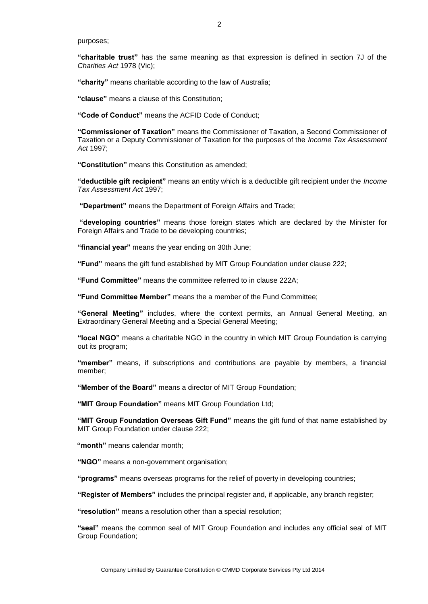purposes;

**"charitable trust"** has the same meaning as that expression is defined in section 7J of the *Charities Act* 1978 (Vic);

**"charity"** means charitable according to the law of Australia;

**"clause"** means a clause of this Constitution;

**"Code of Conduct"** means the ACFID Code of Conduct;

**"Commissioner of Taxation"** means the Commissioner of Taxation, a Second Commissioner of Taxation or a Deputy Commissioner of Taxation for the purposes of the *Income Tax Assessment Act* 1997;

**"Constitution"** means this Constitution as amended;

**"deductible gift recipient"** means an entity which is a deductible gift recipient under the *Income Tax Assessment Act* 1997;

**"Department"** means the Department of Foreign Affairs and Trade;

**"developing countries"** means those foreign states which are declared by the Minister for Foreign Affairs and Trade to be developing countries;

**"financial year"** means the year ending on 30th June;

**"Fund"** means the gift fund established by MIT Group Foundation under clause 222;

**"Fund Committee"** means the committee referred to in clause 222A;

**"Fund Committee Member"** means the a member of the Fund Committee;

**"General Meeting"** includes, where the context permits, an Annual General Meeting, an Extraordinary General Meeting and a Special General Meeting;

**"local NGO"** means a charitable NGO in the country in which MIT Group Foundation is carrying out its program;

**"member"** means, if subscriptions and contributions are payable by members, a financial member;

**"Member of the Board"** means a director of MIT Group Foundation;

**"MIT Group Foundation"** means MIT Group Foundation Ltd;

**"MIT Group Foundation Overseas Gift Fund"** means the gift fund of that name established by MIT Group Foundation under clause 222;

**"month"** means calendar month;

**"NGO"** means a non-government organisation;

**"programs"** means overseas programs for the relief of poverty in developing countries;

**"Register of Members"** includes the principal register and, if applicable, any branch register;

**"resolution"** means a resolution other than a special resolution;

**"seal"** means the common seal of MIT Group Foundation and includes any official seal of MIT Group Foundation;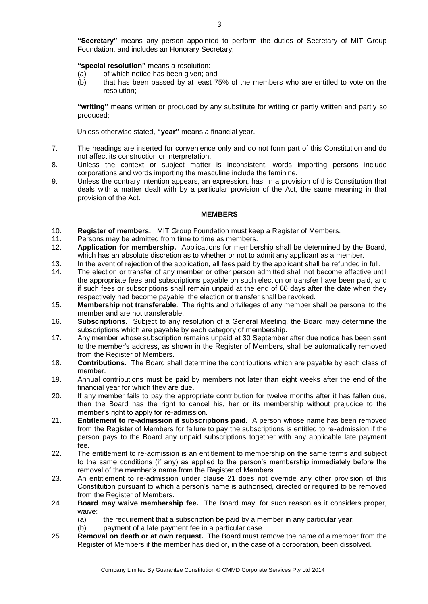#### **"special resolution"** means a resolution:

- (a) of which notice has been given; and
- (b) that has been passed by at least 75% of the members who are entitled to vote on the resolution;

**"writing"** means written or produced by any substitute for writing or partly written and partly so produced;

Unless otherwise stated, **"year"** means a financial year.

- 7. The headings are inserted for convenience only and do not form part of this Constitution and do not affect its construction or interpretation.
- 8. Unless the context or subject matter is inconsistent, words importing persons include corporations and words importing the masculine include the feminine.
- 9. Unless the contrary intention appears, an expression, has, in a provision of this Constitution that deals with a matter dealt with by a particular provision of the Act, the same meaning in that provision of the Act.

#### **MEMBERS**

- 10. **Register of members.** MIT Group Foundation must keep a Register of Members.
- 11. Persons may be admitted from time to time as members.
- 12. **Application for membership.** Applications for membership shall be determined by the Board, which has an absolute discretion as to whether or not to admit any applicant as a member.
- 13. In the event of rejection of the application, all fees paid by the applicant shall be refunded in full.
- 14. The election or transfer of any member or other person admitted shall not become effective until the appropriate fees and subscriptions payable on such election or transfer have been paid, and if such fees or subscriptions shall remain unpaid at the end of 60 days after the date when they respectively had become payable, the election or transfer shall be revoked.
- 15. **Membership not transferable.** The rights and privileges of any member shall be personal to the member and are not transferable.
- 16. **Subscriptions.** Subject to any resolution of a General Meeting, the Board may determine the subscriptions which are payable by each category of membership.
- 17. Any member whose subscription remains unpaid at 30 September after due notice has been sent to the member's address, as shown in the Register of Members, shall be automatically removed from the Register of Members.
- 18. **Contributions.** The Board shall determine the contributions which are payable by each class of member.
- 19. Annual contributions must be paid by members not later than eight weeks after the end of the financial year for which they are due.
- 20. If any member fails to pay the appropriate contribution for twelve months after it has fallen due, then the Board has the right to cancel his, her or its membership without prejudice to the member's right to apply for re-admission.
- 21. **Entitlement to re-admission if subscriptions paid.** A person whose name has been removed from the Register of Members for failure to pay the subscriptions is entitled to re-admission if the person pays to the Board any unpaid subscriptions together with any applicable late payment fee.
- 22. The entitlement to re-admission is an entitlement to membership on the same terms and subject to the same conditions (if any) as applied to the person's membership immediately before the removal of the member's name from the Register of Members.
- 23. An entitlement to re-admission under clause 21 does not override any other provision of this Constitution pursuant to which a person's name is authorised, directed or required to be removed from the Register of Members.
- 24. **Board may waive membership fee.** The Board may, for such reason as it considers proper, waive:
	- (a) the requirement that a subscription be paid by a member in any particular year;
	- (b) payment of a late payment fee in a particular case.
- 25. **Removal on death or at own request.** The Board must remove the name of a member from the Register of Members if the member has died or, in the case of a corporation, been dissolved.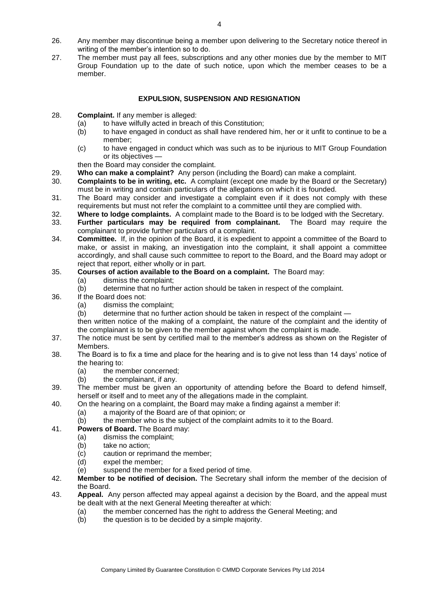- 26. Any member may discontinue being a member upon delivering to the Secretary notice thereof in writing of the member's intention so to do.
- 27. The member must pay all fees, subscriptions and any other monies due by the member to MIT Group Foundation up to the date of such notice, upon which the member ceases to be a member.

# **EXPULSION, SUSPENSION AND RESIGNATION**

- 28. **Complaint.** If any member is alleged:
	- (a) to have wilfully acted in breach of this Constitution;<br>(b) to have engaged in conduct as shall have rendered
	- to have engaged in conduct as shall have rendered him, her or it unfit to continue to be a member;
	- (c) to have engaged in conduct which was such as to be injurious to MIT Group Foundation or its objectives —
	- then the Board may consider the complaint.
- 29. **Who can make a complaint?** Any person (including the Board) can make a complaint.
- 30. **Complaints to be in writing, etc.** A complaint (except one made by the Board or the Secretary) must be in writing and contain particulars of the allegations on which it is founded.
- 31. The Board may consider and investigate a complaint even if it does not comply with these requirements but must not refer the complaint to a committee until they are complied with.
- 32. **Where to lodge complaints.** A complaint made to the Board is to be lodged with the Secretary.
- 33. **Further particulars may be required from complainant.** The Board may require the complainant to provide further particulars of a complaint.
- 34. **Committee.** If, in the opinion of the Board, it is expedient to appoint a committee of the Board to make, or assist in making, an investigation into the complaint, it shall appoint a committee accordingly, and shall cause such committee to report to the Board, and the Board may adopt or reject that report, either wholly or in part.

# 35. **Courses of action available to the Board on a complaint.** The Board may:

- (a) dismiss the complaint;
- (b) determine that no further action should be taken in respect of the complaint.
- 36. If the Board does not:
	- (a) dismiss the complaint;

(b) determine that no further action should be taken in respect of the complaint —

then written notice of the making of a complaint, the nature of the complaint and the identity of the complainant is to be given to the member against whom the complaint is made.

- 37. The notice must be sent by certified mail to the member's address as shown on the Register of Members.
- 38. The Board is to fix a time and place for the hearing and is to give not less than 14 days' notice of the hearing to:
	- (a) the member concerned;
	- (b) the complainant, if any.
- 39. The member must be given an opportunity of attending before the Board to defend himself, herself or itself and to meet any of the allegations made in the complaint.
- 40. On the hearing on a complaint, the Board may make a finding against a member if:
	- (a) a majority of the Board are of that opinion; or
	- (b) the member who is the subject of the complaint admits to it to the Board.
- 41. **Powers of Board.** The Board may:
	- (a) dismiss the complaint;
		- (b) take no action:
		- (c) caution or reprimand the member;
		- (d) expel the member;
		- (e) suspend the member for a fixed period of time.
- 42. **Member to be notified of decision.** The Secretary shall inform the member of the decision of the Board.
- 43. **Appeal.** Any person affected may appeal against a decision by the Board, and the appeal must be dealt with at the next General Meeting thereafter at which:
	- (a) the member concerned has the right to address the General Meeting; and
	- (b) the question is to be decided by a simple majority.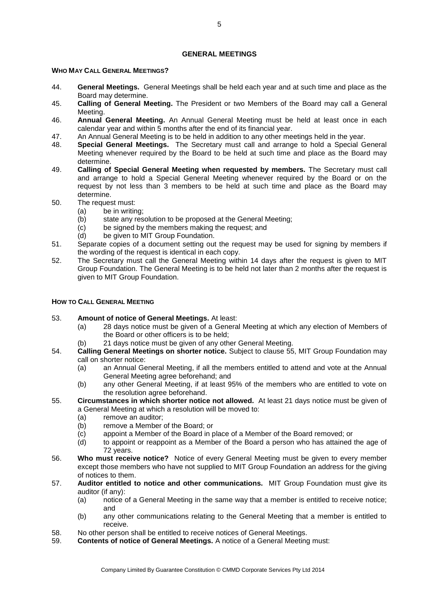#### **GENERAL MEETINGS**

# **WHO MAY CALL GENERAL MEETINGS?**

- 44. **General Meetings.** General Meetings shall be held each year and at such time and place as the Board may determine.
- 45. **Calling of General Meeting.** The President or two Members of the Board may call a General Meeting.
- 46. **Annual General Meeting.** An Annual General Meeting must be held at least once in each calendar year and within 5 months after the end of its financial year.
- 47. An Annual General Meeting is to be held in addition to any other meetings held in the year.
- 48. **Special General Meetings.** The Secretary must call and arrange to hold a Special General Meeting whenever required by the Board to be held at such time and place as the Board may determine.
- 49. **Calling of Special General Meeting when requested by members.** The Secretary must call and arrange to hold a Special General Meeting whenever required by the Board or on the request by not less than 3 members to be held at such time and place as the Board may determine.
- 50. The request must:
	- (a) be in writing;
	- (b) state any resolution to be proposed at the General Meeting;
	- (c) be signed by the members making the request; and
	- (d) be given to MIT Group Foundation.
- 51. Separate copies of a document setting out the request may be used for signing by members if the wording of the request is identical in each copy.
- 52. The Secretary must call the General Meeting within 14 days after the request is given to MIT Group Foundation. The General Meeting is to be held not later than 2 months after the request is given to MIT Group Foundation.

#### **HOW TO CALL GENERAL MEETING**

- 53. **Amount of notice of General Meetings.** At least:
	- (a) 28 days notice must be given of a General Meeting at which any election of Members of the Board or other officers is to be held;
	- (b) 21 days notice must be given of any other General Meeting.
- 54. **Calling General Meetings on shorter notice.** Subject to clause 55, MIT Group Foundation may call on shorter notice:
	- (a) an Annual General Meeting, if all the members entitled to attend and vote at the Annual General Meeting agree beforehand; and
	- (b) any other General Meeting, if at least 95% of the members who are entitled to vote on the resolution agree beforehand.
- 55. **Circumstances in which shorter notice not allowed.** At least 21 days notice must be given of a General Meeting at which a resolution will be moved to:
	- (a) remove an auditor;
	- (b) remove a Member of the Board; or
	- (c) appoint a Member of the Board in place of a Member of the Board removed; or
	- (d) to appoint or reappoint as a Member of the Board a person who has attained the age of 72 years.
- 56. **Who must receive notice?** Notice of every General Meeting must be given to every member except those members who have not supplied to MIT Group Foundation an address for the giving of notices to them.
- 57. **Auditor entitled to notice and other communications.** MIT Group Foundation must give its auditor (if any):
	- (a) notice of a General Meeting in the same way that a member is entitled to receive notice; and
	- (b) any other communications relating to the General Meeting that a member is entitled to receive.
- 58. No other person shall be entitled to receive notices of General Meetings.
- 59. **Contents of notice of General Meetings.** A notice of a General Meeting must: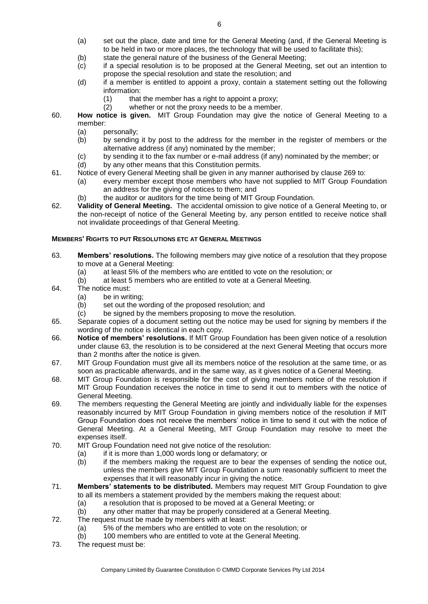- (a) set out the place, date and time for the General Meeting (and, if the General Meeting is to be held in two or more places, the technology that will be used to facilitate this);
- (b) state the general nature of the business of the General Meeting;
- (c) if a special resolution is to be proposed at the General Meeting, set out an intention to propose the special resolution and state the resolution; and
- (d) if a member is entitled to appoint a proxy, contain a statement setting out the following information:
	- $(1)$  that the member has a right to appoint a proxy;
	- (2) whether or not the proxy needs to be a member.
- 60. **How notice is given.** MIT Group Foundation may give the notice of General Meeting to a member:
	- (a) personally;<br>(b) by sending
	- by sending it by post to the address for the member in the register of members or the alternative address (if any) nominated by the member;
	- (c) by sending it to the fax number or e-mail address (if any) nominated by the member; or
	- (d) by any other means that this Constitution permits.
- 61. Notice of every General Meeting shall be given in any manner authorised by clause 269 to:
	- (a) every member except those members who have not supplied to MIT Group Foundation an address for the giving of notices to them; and
	- (b) the auditor or auditors for the time being of MIT Group Foundation.
- 62. **Validity of General Meeting.** The accidental omission to give notice of a General Meeting to, or the non-receipt of notice of the General Meeting by, any person entitled to receive notice shall not invalidate proceedings of that General Meeting.

# **MEMBERS' RIGHTS TO PUT RESOLUTIONS ETC AT GENERAL MEETINGS**

- 63. **Members' resolutions.** The following members may give notice of a resolution that they propose to move at a General Meeting:
	- (a) at least 5% of the members who are entitled to vote on the resolution; or
	- (b) at least 5 members who are entitled to vote at a General Meeting.
- 64. The notice must:
	- (a) be in writing;
	- (b) set out the wording of the proposed resolution; and
	- (c) be signed by the members proposing to move the resolution.
- 65. Separate copies of a document setting out the notice may be used for signing by members if the wording of the notice is identical in each copy.
- 66. **Notice of members' resolutions.** If MIT Group Foundation has been given notice of a resolution under clause 63, the resolution is to be considered at the next General Meeting that occurs more than 2 months after the notice is given.
- 67. MIT Group Foundation must give all its members notice of the resolution at the same time, or as soon as practicable afterwards, and in the same way, as it gives notice of a General Meeting.
- 68. MIT Group Foundation is responsible for the cost of giving members notice of the resolution if MIT Group Foundation receives the notice in time to send it out to members with the notice of General Meeting.
- 69. The members requesting the General Meeting are jointly and individually liable for the expenses reasonably incurred by MIT Group Foundation in giving members notice of the resolution if MIT Group Foundation does not receive the members' notice in time to send it out with the notice of General Meeting. At a General Meeting, MIT Group Foundation may resolve to meet the expenses itself.
- 70. MIT Group Foundation need not give notice of the resolution:
	- (a) if it is more than 1,000 words long or defamatory; or
	- (b) if the members making the request are to bear the expenses of sending the notice out, unless the members give MIT Group Foundation a sum reasonably sufficient to meet the expenses that it will reasonably incur in giving the notice.
- 71. **Members' statements to be distributed.** Members may request MIT Group Foundation to give to all its members a statement provided by the members making the request about:
	- (a) a resolution that is proposed to be moved at a General Meeting; or
	- (b) any other matter that may be properly considered at a General Meeting.
- 72. The request must be made by members with at least:
	- (a) 5% of the members who are entitled to vote on the resolution; or
	- (b) 100 members who are entitled to vote at the General Meeting.
- 73. The request must be: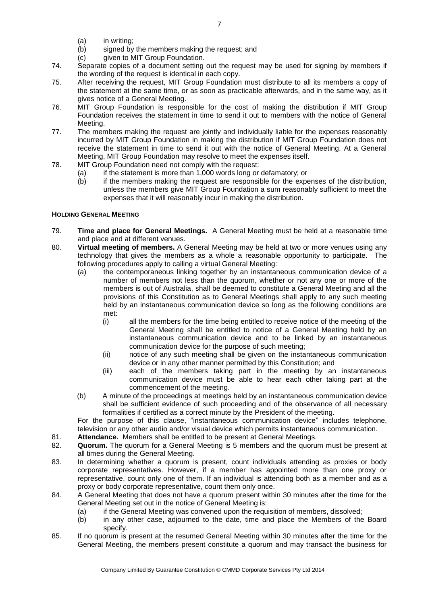- (a) in writing;
- (b) signed by the members making the request; and
- (c) given to MIT Group Foundation.
- 74. Separate copies of a document setting out the request may be used for signing by members if the wording of the request is identical in each copy.
- 75. After receiving the request, MIT Group Foundation must distribute to all its members a copy of the statement at the same time, or as soon as practicable afterwards, and in the same way, as it gives notice of a General Meeting.
- 76. MIT Group Foundation is responsible for the cost of making the distribution if MIT Group Foundation receives the statement in time to send it out to members with the notice of General Meeting.
- 77. The members making the request are jointly and individually liable for the expenses reasonably incurred by MIT Group Foundation in making the distribution if MIT Group Foundation does not receive the statement in time to send it out with the notice of General Meeting. At a General Meeting, MIT Group Foundation may resolve to meet the expenses itself.
- 78. MIT Group Foundation need not comply with the request:
	- (a) if the statement is more than 1,000 words long or defamatory; or
	- (b) if the members making the request are responsible for the expenses of the distribution, unless the members give MIT Group Foundation a sum reasonably sufficient to meet the expenses that it will reasonably incur in making the distribution.

# **HOLDING GENERAL MEETING**

- 79. **Time and place for General Meetings.** A General Meeting must be held at a reasonable time and place and at different venues.
- 80. **Virtual meeting of members.** A General Meeting may be held at two or more venues using any technology that gives the members as a whole a reasonable opportunity to participate. The following procedures apply to calling a virtual General Meeting:
	- (a) the contemporaneous linking together by an instantaneous communication device of a number of members not less than the quorum, whether or not any one or more of the members is out of Australia, shall be deemed to constitute a General Meeting and all the provisions of this Constitution as to General Meetings shall apply to any such meeting held by an instantaneous communication device so long as the following conditions are met:
		- (i) all the members for the time being entitled to receive notice of the meeting of the General Meeting shall be entitled to notice of a General Meeting held by an instantaneous communication device and to be linked by an instantaneous communication device for the purpose of such meeting;
		- (ii) notice of any such meeting shall be given on the instantaneous communication device or in any other manner permitted by this Constitution; and
		- (iii) each of the members taking part in the meeting by an instantaneous communication device must be able to hear each other taking part at the commencement of the meeting.
	- (b) A minute of the proceedings at meetings held by an instantaneous communication device shall be sufficient evidence of such proceeding and of the observance of all necessary formalities if certified as a correct minute by the President of the meeting.

For the purpose of this clause, "instantaneous communication device" includes telephone, television or any other audio and/or visual device which permits instantaneous communication.

- 81. **Attendance.** Members shall be entitled to be present at General Meetings.
- 82. **Quorum.** The quorum for a General Meeting is 5 members and the quorum must be present at all times during the General Meeting.
- 83. In determining whether a quorum is present, count individuals attending as proxies or body corporate representatives. However, if a member has appointed more than one proxy or representative, count only one of them. If an individual is attending both as a member and as a proxy or body corporate representative, count them only once.
- 84. A General Meeting that does not have a quorum present within 30 minutes after the time for the General Meeting set out in the notice of General Meeting is:
	- (a) if the General Meeting was convened upon the requisition of members, dissolved;
	- (b) in any other case, adjourned to the date, time and place the Members of the Board specify.
- 85. If no quorum is present at the resumed General Meeting within 30 minutes after the time for the General Meeting, the members present constitute a quorum and may transact the business for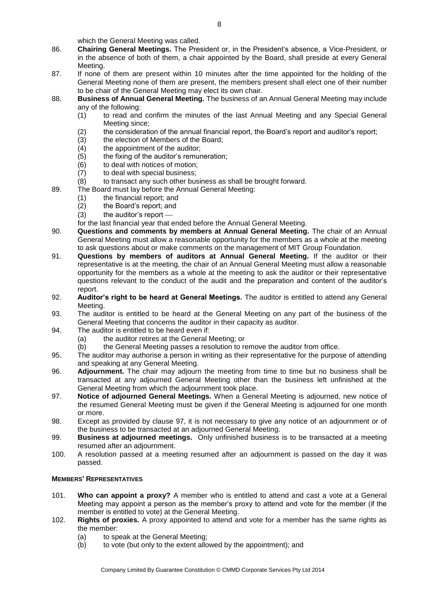which the General Meeting was called.

- 86. **Chairing General Meetings.** The President or, in the President's absence, a Vice-President, or in the absence of both of them, a chair appointed by the Board, shall preside at every General Meeting.
- 87. If none of them are present within 10 minutes after the time appointed for the holding of the General Meeting none of them are present, the members present shall elect one of their number to be chair of the General Meeting may elect its own chair.
- 88. **Business of Annual General Meeting.** The business of an Annual General Meeting may include any of the following:
	- (1) to read and confirm the minutes of the last Annual Meeting and any Special General Meeting since;
	- (2) the consideration of the annual financial report, the Board's report and auditor's report;
	- $(3)$  the election of Members of the Board;
	- $(4)$  the appointment of the auditor:
	- (5) the fixing of the auditor's remuneration;
	- (6) to deal with notices of motion;
	- (7) to deal with special business;
	- (8) to transact any such other business as shall be brought forward.
- 89. The Board must lay before the Annual General Meeting:
	- (1) the financial report; and
	- (2) the Board's report; and
	- $(3)$  the auditor's report  $-$
	- for the last financial year that ended before the Annual General Meeting.
- 90. **Questions and comments by members at Annual General Meeting.** The chair of an Annual General Meeting must allow a reasonable opportunity for the members as a whole at the meeting to ask questions about or make comments on the management of MIT Group Foundation.
- 91. **Questions by members of auditors at Annual General Meeting.** If the auditor or their representative is at the meeting, the chair of an Annual General Meeting must allow a reasonable opportunity for the members as a whole at the meeting to ask the auditor or their representative questions relevant to the conduct of the audit and the preparation and content of the auditor's report.
- 92. **Auditor's right to be heard at General Meetings.** The auditor is entitled to attend any General Meeting.
- 93. The auditor is entitled to be heard at the General Meeting on any part of the business of the General Meeting that concerns the auditor in their capacity as auditor.
- 94. The auditor is entitled to be heard even if:
	- (a) the auditor retires at the General Meeting; or
	- (b) the General Meeting passes a resolution to remove the auditor from office.
- 95. The auditor may authorise a person in writing as their representative for the purpose of attending and speaking at any General Meeting.
- 96. **Adjournment.** The chair may adjourn the meeting from time to time but no business shall be transacted at any adjourned General Meeting other than the business left unfinished at the General Meeting from which the adjournment took place.
- 97. **Notice of adjourned General Meetings.** When a General Meeting is adjourned, new notice of the resumed General Meeting must be given if the General Meeting is adjourned for one month or more.
- 98. Except as provided by clause 97, it is not necessary to give any notice of an adjournment or of the business to be transacted at an adjourned General Meeting.
- 99. **Business at adjourned meetings.** Only unfinished business is to be transacted at a meeting resumed after an adjournment.
- 100. A resolution passed at a meeting resumed after an adjournment is passed on the day it was passed.

# **MEMBERS' REPRESENTATIVES**

- 101. **Who can appoint a proxy?** A member who is entitled to attend and cast a vote at a General Meeting may appoint a person as the member's proxy to attend and vote for the member (if the member is entitled to vote) at the General Meeting.
- 102. **Rights of proxies.** A proxy appointed to attend and vote for a member has the same rights as the member:
	- (a) to speak at the General Meeting;
	- (b) to vote (but only to the extent allowed by the appointment); and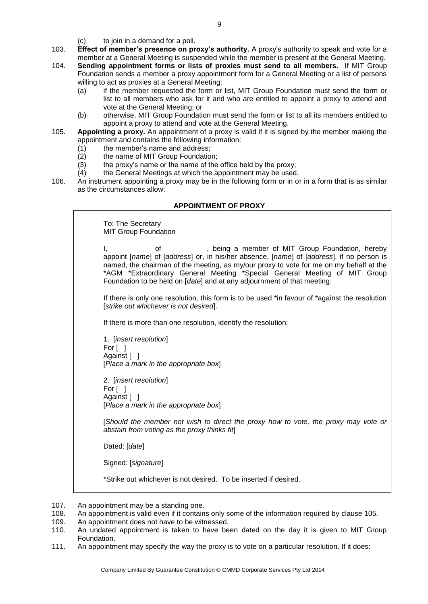(c) to join in a demand for a poll.

- 103. **Effect of member's presence on proxy's authority.** A proxy's authority to speak and vote for a member at a General Meeting is suspended while the member is present at the General Meeting.
- 104. **Sending appointment forms or lists of proxies must send to all members.** If MIT Group Foundation sends a member a proxy appointment form for a General Meeting or a list of persons willing to act as proxies at a General Meeting:
	- (a) if the member requested the form or list, MIT Group Foundation must send the form or list to all members who ask for it and who are entitled to appoint a proxy to attend and vote at the General Meeting; or
	- (b) otherwise, MIT Group Foundation must send the form or list to all its members entitled to appoint a proxy to attend and vote at the General Meeting.
- 105. **Appointing a proxy.** An appointment of a proxy is valid if it is signed by the member making the appointment and contains the following information:
	- (1) the member's name and address;
	- (2) the name of MIT Group Foundation;
	- $(3)$  the proxy's name or the name of the office held by the proxy;
	- (4) the General Meetings at which the appointment may be used.
- 106. An instrument appointing a proxy may be in the following form or in or in a form that is as similar as the circumstances allow:

# **APPOINTMENT OF PROXY**

To: The Secretary MIT Group Foundation I, being a member of MIT Group Foundation, hereby appoint [*name*] of [*address*] or, in his/her absence, [*name*] of [*address*], if no person is named, the chairman of the meeting, as my/our proxy to vote for me on my behalf at the \*AGM \*Extraordinary General Meeting \*Special General Meeting of MIT Group Foundation to be held on [*date*] and at any adjournment of that meeting. If there is only one resolution, this form is to be used \*in favour of \*against the resolution [*strike out whichever is not desired*]. If there is more than one resolution, identify the resolution: 1. [*insert resolution*] For [ ] Against [ ] [*Place a mark in the appropriate box*] 2. [*insert resolution*] For [ ] Against [ ] [*Place a mark in the appropriate box*] [*Should the member not wish to direct the proxy how to vote, the proxy may vote or abstain from voting as the proxy thinks fit*] Dated: [*date*] Signed: [*signature*]

\*Strike out whichever is not desired. To be inserted if desired.

- 107. An appointment may be a standing one.
- 108. An appointment is valid even if it contains only some of the information required by clause 105.<br>109. An appointment does not have to be witnessed.
- An appointment does not have to be witnessed.
- 110. An undated appointment is taken to have been dated on the day it is given to MIT Group Foundation.
- 111. An appointment may specify the way the proxy is to vote on a particular resolution. If it does: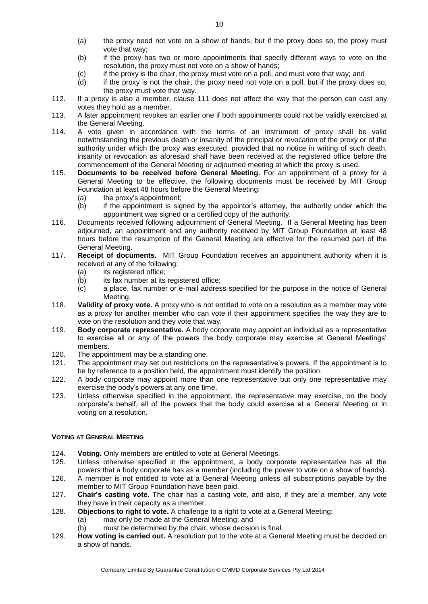- (a) the proxy need not vote on a show of hands, but if the proxy does so, the proxy must vote that way;
- (b) if the proxy has two or more appointments that specify different ways to vote on the resolution, the proxy must not vote on a show of hands;
- (c) if the proxy is the chair, the proxy must vote on a poll, and must vote that way; and
- (d) if the proxy is not the chair, the proxy need not vote on a poll, but if the proxy does so, the proxy must vote that way.
- 112. If a proxy is also a member, clause 111 does not affect the way that the person can cast any votes they hold as a member.
- 113. A later appointment revokes an earlier one if both appointments could not be validly exercised at the General Meeting.
- 114. A vote given in accordance with the terms of an instrument of proxy shall be valid notwithstanding the previous death or insanity of the principal or revocation of the proxy or of the authority under which the proxy was executed, provided that no notice in writing of such death, insanity or revocation as aforesaid shall have been received at the registered office before the commencement of the General Meeting or adjourned meeting at which the proxy is used.
- 115. **Documents to be received before General Meeting.** For an appointment of a proxy for a General Meeting to be effective, the following documents must be received by MIT Group Foundation at least 48 hours before the General Meeting:
	- (a) the proxy's appointment;
	- (b) if the appointment is signed by the appointor's attorney, the authority under which the appointment was signed or a certified copy of the authority.
- 116. Documents received following adjournment of General Meeting. If a General Meeting has been adjourned, an appointment and any authority received by MIT Group Foundation at least 48 hours before the resumption of the General Meeting are effective for the resumed part of the General Meeting.
- 117. **Receipt of documents.** MIT Group Foundation receives an appointment authority when it is received at any of the following:
	- (a) its registered office:
	- $(b)$  its fax number at its registered office;
	- (c) a place, fax number or e-mail address specified for the purpose in the notice of General Meeting.
- 118. **Validity of proxy vote.** A proxy who is not entitled to vote on a resolution as a member may vote as a proxy for another member who can vote if their appointment specifies the way they are to vote on the resolution and they vote that way.
- 119. **Body corporate representative.** A body corporate may appoint an individual as a representative to exercise all or any of the powers the body corporate may exercise at General Meetings' members.
- 120. The appointment may be a standing one.
- 121. The appointment may set out restrictions on the representative's powers. If the appointment is to be by reference to a position held, the appointment must identify the position.
- 122. A body corporate may appoint more than one representative but only one representative may exercise the body's powers at any one time.
- 123. Unless otherwise specified in the appointment, the representative may exercise, on the body corporate's behalf, all of the powers that the body could exercise at a General Meeting or in voting on a resolution.

# **VOTING AT GENERAL MEETING**

- 124. **Voting.** Only members are entitled to vote at General Meetings.
- 125. Unless otherwise specified in the appointment, a body corporate representative has all the powers that a body corporate has as a member (including the power to vote on a show of hands).
- 126. A member is not entitled to vote at a General Meeting unless all subscriptions payable by the member to MIT Group Foundation have been paid.
- 127. **Chair's casting vote.** The chair has a casting vote, and also, if they are a member, any vote they have in their capacity as a member.
- 128. **Objections to right to vote.** A challenge to a right to vote at a General Meeting:
	- (a) may only be made at the General Meeting; and
	- (b) must be determined by the chair, whose decision is final.
- 129. **How voting is carried out.** A resolution put to the vote at a General Meeting must be decided on a show of hands.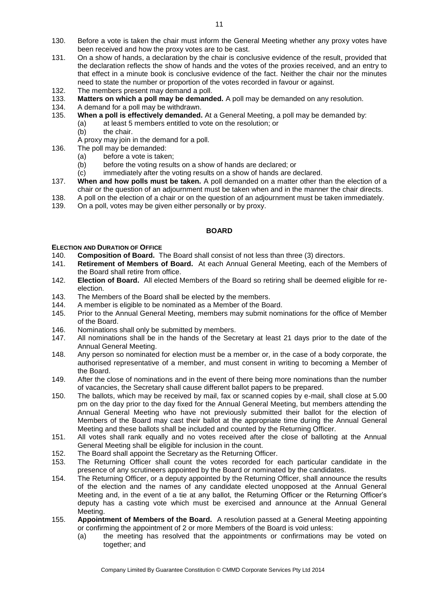- 130. Before a vote is taken the chair must inform the General Meeting whether any proxy votes have been received and how the proxy votes are to be cast.
- 131. On a show of hands, a declaration by the chair is conclusive evidence of the result, provided that the declaration reflects the show of hands and the votes of the proxies received, and an entry to that effect in a minute book is conclusive evidence of the fact. Neither the chair nor the minutes need to state the number or proportion of the votes recorded in favour or against.
- 132. The members present may demand a poll.
- 133. **Matters on which a poll may be demanded.** A poll may be demanded on any resolution.
- A demand for a poll may be withdrawn.
- 135. **When a poll is effectively demanded.** At a General Meeting, a poll may be demanded by: (a) at least 5 members entitled to vote on the resolution; or
	- (b) the chair.
	- A proxy may join in the demand for a poll.
- 136. The poll may be demanded:
	- (a) before a vote is taken;
	- (b) before the voting results on a show of hands are declared; or
	- (c) immediately after the voting results on a show of hands are declared.
- 137. **When and how polls must be taken.** A poll demanded on a matter other than the election of a chair or the question of an adjournment must be taken when and in the manner the chair directs.
- 138. A poll on the election of a chair or on the question of an adjournment must be taken immediately.
- 139. On a poll, votes may be given either personally or by proxy.

#### **BOARD**

#### **ELECTION AND DURATION OF OFFICE**

- 140. **Composition of Board.** The Board shall consist of not less than three (3) directors.
- 141. **Retirement of Members of Board.** At each Annual General Meeting, each of the Members of the Board shall retire from office.
- 142. **Election of Board.** All elected Members of the Board so retiring shall be deemed eligible for reelection.
- 143. The Members of the Board shall be elected by the members.<br>144. A member is eligible to be nominated as a Member of the Board.
- 144. A member is eligible to be nominated as a Member of the Board.<br>145. Prior to the Annual General Meeting. members may submit nomi
- Prior to the Annual General Meeting, members may submit nominations for the office of Member of the Board.
- 146. Nominations shall only be submitted by members.
- 147. All nominations shall be in the hands of the Secretary at least 21 days prior to the date of the Annual General Meeting.
- 148. Any person so nominated for election must be a member or, in the case of a body corporate, the authorised representative of a member, and must consent in writing to becoming a Member of the Board.
- 149. After the close of nominations and in the event of there being more nominations than the number of vacancies, the Secretary shall cause different ballot papers to be prepared.
- 150. The ballots, which may be received by mail, fax or scanned copies by e-mail, shall close at 5.00 pm on the day prior to the day fixed for the Annual General Meeting, but members attending the Annual General Meeting who have not previously submitted their ballot for the election of Members of the Board may cast their ballot at the appropriate time during the Annual General Meeting and these ballots shall be included and counted by the Returning Officer.
- 151. All votes shall rank equally and no votes received after the close of balloting at the Annual General Meeting shall be eligible for inclusion in the count.
- 152. The Board shall appoint the Secretary as the Returning Officer.
- 153. The Returning Officer shall count the votes recorded for each particular candidate in the presence of any scrutineers appointed by the Board or nominated by the candidates.
- 154. The Returning Officer, or a deputy appointed by the Returning Officer, shall announce the results of the election and the names of any candidate elected unopposed at the Annual General Meeting and, in the event of a tie at any ballot, the Returning Officer or the Returning Officer's deputy has a casting vote which must be exercised and announce at the Annual General Meeting.
- 155. **Appointment of Members of the Board.** A resolution passed at a General Meeting appointing or confirming the appointment of 2 or more Members of the Board is void unless:
	- (a) the meeting has resolved that the appointments or confirmations may be voted on together; and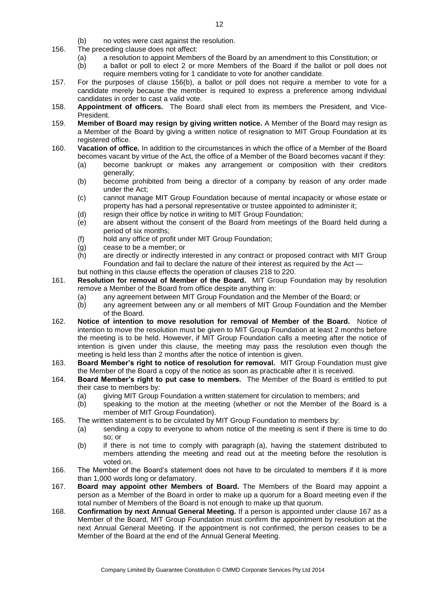- (b) no votes were cast against the resolution.
- 156. The preceding clause does not affect:
	- (a) a resolution to appoint Members of the Board by an amendment to this Constitution; or
	- (b) a ballot or poll to elect 2 or more Members of the Board if the ballot or poll does not require members voting for 1 candidate to vote for another candidate.
- 157. For the purposes of clause 156(b), a ballot or poll does not require a member to vote for a candidate merely because the member is required to express a preference among individual candidates in order to cast a valid vote.
- 158. **Appointment of officers.** The Board shall elect from its members the President, and Vice-President.
- 159. **Member of Board may resign by giving written notice.** A Member of the Board may resign as a Member of the Board by giving a written notice of resignation to MIT Group Foundation at its registered office.
- 160. **Vacation of office.** In addition to the circumstances in which the office of a Member of the Board becomes vacant by virtue of the Act, the office of a Member of the Board becomes vacant if they:
	- (a) become bankrupt or makes any arrangement or composition with their creditors generally;
	- (b) become prohibited from being a director of a company by reason of any order made under the Act;
	- (c) cannot manage MIT Group Foundation because of mental incapacity or whose estate or property has had a personal representative or trustee appointed to administer it;
	- (d) resign their office by notice in writing to MIT Group Foundation;
	- (e) are absent without the consent of the Board from meetings of the Board held during a period of six months;
	- (f) hold any office of profit under MIT Group Foundation;
	- (g) cease to be a member; or
	- (h) are directly or indirectly interested in any contract or proposed contract with MIT Group Foundation and fail to declare the nature of their interest as required by [the Act](file:///C:/Users/Paul/AppData/Local/Microsoft/Windows/Temporary%20Internet%20Files/Content.IE5/YJSON4W1/index.html) —
	- but nothing in this clause effects the operation of clauses 218 to 220.
- 161. **Resolution for removal of Member of the Board.** MIT Group Foundation may by resolution remove a Member of the Board from office despite anything in:
	- (a) any agreement between MIT Group Foundation and the Member of the Board; or
	- (b) any agreement between any or all members of MIT Group Foundation and the Member of the Board.
- 162. **Notice of intention to move resolution for removal of Member of the Board.** Notice of intention to move the resolution must be [given](http://www.austlii.edu.au/au/legis/cth/consol_act/ca2001172/s109x.html#give) to MIT Group Foundation at least 2 months before the meeting is to be held. However, if MIT Group Foundation calls a meeting after the notice of intention is [given](http://www.austlii.edu.au/au/legis/cth/consol_act/ca2001172/s109x.html#give) under this clause, the meeting may pass the resolution even though the meeting is held less than 2 months after the notice of intention is [given.](http://www.austlii.edu.au/au/legis/cth/consol_act/ca2001172/s109x.html#give)
- 163. **Board Member's right to notice of resolution for removal.** MIT Group Foundation must [give](http://www.austlii.edu.au/au/legis/cth/consol_act/ca2001172/s109x.html#give) the Member of the Board a copy of the notice as soon as practicable after it is received.
- 164. **Board Member's right to put case to members.** The Member of the Board is entitled to put their case to members by:
	- (a) giving MIT Group Foundation a written statement for circulation to members; and
	- (b) speaking to the motion at the meeting (whether or not the Member of the Board is a member of MIT Group Foundation).
- 165. The written statement is to be circulated by MIT Group Foundation to members by:
	- (a) [sending](http://www.austlii.edu.au/au/legis/cth/consol_act/ca2001172/s109x.html#send) a copy to everyone to whom notice of the meeting is sent if there is time to do so; or
	- (b) if there is not time to comply with paragraph (a), having the statement distributed to members attending the meeting and read out at the meeting before the resolution is voted on.
- 166. The Member of the Board's statement does not have to be circulated to members if it is more than 1,000 words long or defamatory.
- 167. **Board may appoint other Members of Board.** The Members of the Board may appoint a person as a Member of the Board in order to make up a quorum for a Board meeting even if the total number of Members of the Board is not enough to make up that quorum.
- 168. **Confirmation by next Annual General Meeting.** If a person is appointed under clause 167 as a Member of the Board, MIT Group Foundation must confirm the appointment by resolution at the next Annual General Meeting. If the appointment is not confirmed, the person ceases to be a Member of the Board at the end of the Annual General Meeting.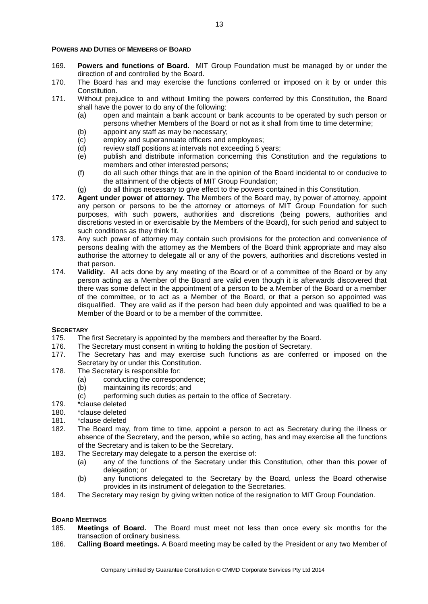#### **POWERS AND DUTIES OF MEMBERS OF BOARD**

- 169. **Powers and functions of Board.** MIT Group Foundation must be managed by or under the direction of and controlled by the Board.
- 170. The Board has and may exercise the functions conferred or imposed on it by or under this Constitution.
- 171. Without prejudice to and without limiting the powers conferred by this Constitution, the Board shall have the power to do any of the following:
	- (a) open and maintain a bank account or bank accounts to be operated by such person or persons whether Members of the Board or not as it shall from time to time determine;
	- (b) appoint any staff as may be necessary;
	- (c) employ and superannuate officers and employees;
	- (d) review staff positions at intervals not exceeding 5 years;
	- (e) publish and distribute information concerning this Constitution and the regulations to members and other interested persons;
	- (f) do all such other things that are in the opinion of the Board incidental to or conducive to the attainment of the objects of MIT Group Foundation;
	- (g) do all things necessary to give effect to the powers contained in this Constitution.
- 172. **Agent under power of attorney.** The Members of the Board may, by power of attorney, appoint any person or persons to be the attorney or attorneys of MIT Group Foundation for such purposes, with such powers, authorities and discretions (being powers, authorities and discretions vested in or exercisable by the Members of the Board), for such period and subject to such conditions as they think fit.
- 173. Any such power of attorney may contain such provisions for the protection and convenience of persons dealing with the attorney as the Members of the Board think appropriate and may also authorise the attorney to delegate all or any of the powers, authorities and discretions vested in that person.
- 174. **Validity.** All acts done by any meeting of the Board or of a committee of the Board or by any person acting as a Member of the Board are valid even though it is afterwards discovered that there was some defect in the appointment of a person to be a Member of the Board or a member of the committee, or to act as a Member of the Board, or that a person so appointed was disqualified. They are valid as if the person had been duly appointed and was qualified to be a Member of the Board or to be a member of the committee.

#### **SECRETARY**

- 175. The first Secretary is appointed by the members and thereafter by the Board.
- 176. The Secretary must consent in writing to holding the position of Secretary.
- 177. The Secretary has and may exercise such functions as are conferred or imposed on the Secretary by or under this Constitution.
- 178. The Secretary is responsible for:
	- (a) conducting the correspondence;
	- (b) maintaining its records; and
	- (c) performing such duties as pertain to the office of Secretary.
- 179. \*clause deleted
- 180. \*clause deleted
- 181. \*clause deleted
- 182. The Board may, from time to time, appoint a person to act as Secretary during the illness or absence of the Secretary, and the person, while so acting, has and may exercise all the functions of the Secretary and is taken to be the Secretary.
- 183. The Secretary may delegate to a person the exercise of:
	- (a) any of the functions of the Secretary under this Constitution, other than this power of delegation; or
	- (b) any functions delegated to the Secretary by the Board, unless the Board otherwise provides in its instrument of delegation to the Secretaries.
- 184. The Secretary may resign by giving written notice of the resignation to MIT Group Foundation.

#### **BOARD MEETINGS**

- 185. **Meetings of Board.** The Board must meet not less than once every six months for the transaction of ordinary business.
- 186. **Calling Board meetings.** A Board meeting may be called by the President or any two Member of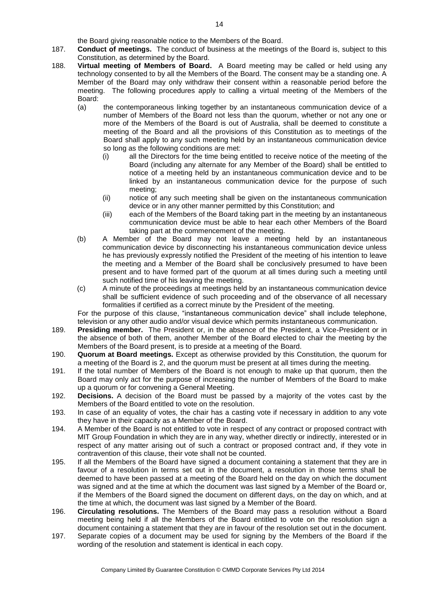the Board giving reasonable notice to the Members of the Board.

- 187. **Conduct of meetings.** The conduct of business at the meetings of the Board is, subject to this Constitution, as determined by the Board.
- 188. **Virtual meeting of Members of Board.** A Board meeting may be called or held using any technology consented to by all the Members of the Board. The consent may be a standing one. A Member of the Board may only withdraw their consent within a reasonable period before the meeting. The following procedures apply to calling a virtual meeting of the Members of the Board:
	- (a) the contemporaneous linking together by an instantaneous communication device of a number of Members of the Board not less than the quorum, whether or not any one or more of the Members of the Board is out of Australia, shall be deemed to constitute a meeting of the Board and all the provisions of this Constitution as to meetings of the Board shall apply to any such meeting held by an instantaneous communication device so long as the following conditions are met:
		- (i) all the Directors for the time being entitled to receive notice of the meeting of the Board (including any alternate for any Member of the Board) shall be entitled to notice of a meeting held by an instantaneous communication device and to be linked by an instantaneous communication device for the purpose of such meeting;
		- (ii) notice of any such meeting shall be given on the instantaneous communication device or in any other manner permitted by this Constitution; and
		- (iii) each of the Members of the Board taking part in the meeting by an instantaneous communication device must be able to hear each other Members of the Board taking part at the commencement of the meeting.
	- (b) A Member of the Board may not leave a meeting held by an instantaneous communication device by disconnecting his instantaneous communication device unless he has previously expressly notified the President of the meeting of his intention to leave the meeting and a Member of the Board shall be conclusively presumed to have been present and to have formed part of the quorum at all times during such a meeting until such notified time of his leaving the meeting.
	- (c) A minute of the proceedings at meetings held by an instantaneous communication device shall be sufficient evidence of such proceeding and of the observance of all necessary formalities if certified as a correct minute by the President of the meeting.

For the purpose of this clause, "instantaneous communication device" shall include telephone, television or any other audio and/or visual device which permits instantaneous communication.

- 189. **Presiding member.** The President or, in the absence of the President, a Vice-President or in the absence of both of them, another Member of the Board elected to chair the meeting by the Members of the Board present, is to preside at a meeting of the Board.
- 190. **Quorum at Board meetings.** Except as otherwise provided by this Constitution, the quorum for a meeting of the Board is 2, and the quorum must be present at all times during the meeting.
- 191. If the total number of Members of the Board is not enough to make up that quorum, then the Board may only act for the purpose of increasing the number of Members of the Board to make up a quorum or for convening a General Meeting.
- 192. **Decisions.** A decision of the Board must be passed by a majority of the votes cast by the Members of the Board entitled to vote on the resolution.
- 193. In case of an equality of votes, the chair has a casting vote if necessary in addition to any vote they have in their capacity as a Member of the Board.
- 194. A Member of the Board is not entitled to vote in respect of any contract or proposed contract with MIT Group Foundation in which they are in any way, whether directly or indirectly, interested or in respect of any matter arising out of such a contract or proposed contract and, if they vote in contravention of this clause, their vote shall not be counted.
- 195. If all the Members of the Board have signed a document containing a statement that they are in favour of a resolution in terms set out in the document, a resolution in those terms shall be deemed to have been passed at a meeting of the Board held on the day on which the document was signed and at the time at which the document was last signed by a Member of the Board or, if the Members of the Board signed the document on different days, on the day on which, and at the time at which, the document was last signed by a Member of the Board.
- 196. **Circulating resolutions.** The Members of the Board may pass a resolution without a Board meeting being held if all the Members of the Board entitled to vote on the resolution sign a document containing a statement that they are in favour of the resolution set out in the document.
- 197. Separate copies of a document may be used for signing by the Members of the Board if the wording of the resolution and statement is identical in each copy.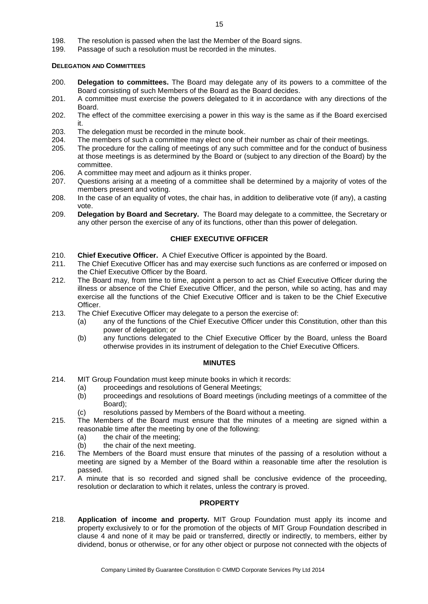- 198. The resolution is passed when the last the Member of the Board signs.
- 199. Passage of such a resolution must be recorded in the minutes.

#### **DELEGATION AND COMMITTEES**

- 200. **Delegation to committees.** The Board may delegate any of its powers to a committee of the Board consisting of such Members of the Board as the Board decides.
- 201. A committee must exercise the powers delegated to it in accordance with any directions of the Board.
- 202. The effect of the committee exercising a power in this way is the same as if the Board exercised it.
- 203. The delegation must be recorded in the minute book.<br>204 The members of such a committee may elect one of t
- The members of such a committee may elect one of their number as chair of their meetings.
- 205. The procedure for the calling of meetings of any such committee and for the conduct of business at those meetings is as determined by the Board or (subject to any direction of the Board) by the committee.
- 206. A committee may meet and adjourn as it thinks proper.
- 207. Questions arising at a meeting of a committee shall be determined by a majority of votes of the members present and voting.
- 208. In the case of an equality of votes, the chair has, in addition to deliberative vote (if any), a casting vote.
- 209. **Delegation by Board and Secretary.** The Board may delegate to a committee, the Secretary or any other person the exercise of any of its functions, other than this power of delegation.

#### **CHIEF EXECUTIVE OFFICER**

- 210. **Chief Executive Officer.** A Chief Executive Officer is appointed by the Board.
- 211. The Chief Executive Officer has and may exercise such functions as are conferred or imposed on the Chief Executive Officer by the Board.
- 212. The Board may, from time to time, appoint a person to act as Chief Executive Officer during the illness or absence of the Chief Executive Officer, and the person, while so acting, has and may exercise all the functions of the Chief Executive Officer and is taken to be the Chief Executive Officer.
- 213. The Chief Executive Officer may delegate to a person the exercise of:
	- (a) any of the functions of the Chief Executive Officer under this Constitution, other than this power of delegation; or
	- (b) any functions delegated to the Chief Executive Officer by the Board, unless the Board otherwise provides in its instrument of delegation to the Chief Executive Officers.

#### **MINUTES**

- 214. MIT Group Foundation must keep minute books in which it records:
	- (a) proceedings and resolutions of General Meetings;
	- (b) proceedings and resolutions of Board meetings (including meetings of a committee of the Board);
	- (c) resolutions passed by Members of the Board without a meeting.
- 215. The Members of the Board must ensure that the minutes of a meeting are signed within a reasonable time after the meeting by one of the following:
	- (a) the chair of the meeting;
	- (b) the chair of the next meeting.
- 216. The Members of the Board must ensure that minutes of the passing of a resolution without a meeting are signed by a Member of the Board within a reasonable time after the resolution is passed.
- 217. A minute that is so recorded and signed shall be conclusive evidence of the proceeding, resolution or declaration to which it relates, unless the contrary is proved.

# **PROPERTY**

218. **Application of income and property.** MIT Group Foundation must apply its income and property exclusively to or for the promotion of the objects of MIT Group Foundation described in clause 4 and none of it may be paid or transferred, directly or indirectly, to members, either by dividend, bonus or otherwise, or for any other object or purpose not connected with the objects of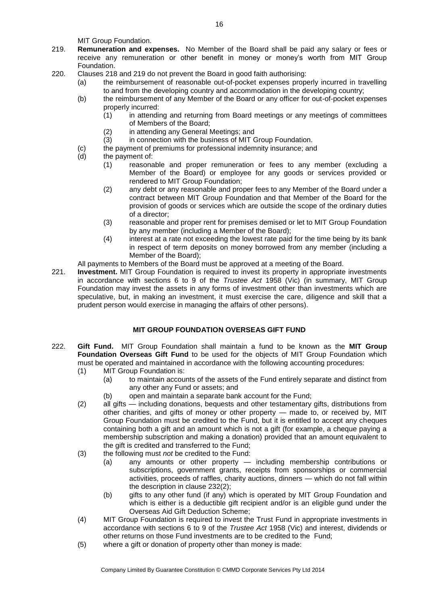MIT Group Foundation.

- 219. **Remuneration and expenses.** No Member of the Board shall be paid any salary or fees or receive any remuneration or other benefit in money or money's worth from MIT Group Foundation.
- 220. Clauses 218 and 219 do not prevent the Board in good faith authorising:
	- (a) the reimbursement of reasonable out-of-pocket expenses properly incurred in travelling to and from the developing country and accommodation in the developing country;
	- (b) the reimbursement of any Member of the Board or any officer for out-of-pocket expenses properly incurred:
		- $(1)$  in attending and returning from Board meetings or any meetings of committees of Members of the Board;
		- (2) in attending any General Meetings; and<br>(3) in connection with the business of MIT G
		- in connection with the business of MIT Group Foundation.
	- (c) the payment of premiums for professional indemnity insurance; and
	- (d) the payment of:
		- (1) reasonable and proper remuneration or fees to any member (excluding a Member of the Board) or employee for any goods or services provided or rendered to MIT Group Foundation;
		- (2) any debt or any reasonable and proper fees to any Member of the Board under a contract between MIT Group Foundation and that Member of the Board for the provision of goods or services which are outside the scope of the ordinary duties of a director;
		- (3) reasonable and proper rent for premises demised or let to MIT Group Foundation by any member (including a Member of the Board);
		- (4) interest at a rate not exceeding the lowest rate paid for the time being by its bank in respect of term deposits on money borrowed from any member (including a Member of the Board);
	- All payments to Members of the Board must be approved at a meeting of the Board.
- 221. **Investment.** MIT Group Foundation is required to invest its property in appropriate investments in accordance with sections 6 to 9 of the *Trustee Act* 1958 (Vic) (in summary, MIT Group Foundation may invest the assets in any forms of investment other than investments which are speculative, but, in making an investment, it must exercise the care, diligence and skill that a prudent person would exercise in managing the affairs of other persons).

# **MIT GROUP FOUNDATION OVERSEAS GIFT FUND**

- 222. **Gift Fund.** MIT Group Foundation shall maintain a fund to be known as the **MIT Group Foundation Overseas Gift Fund** to be used for the objects of MIT Group Foundation which must be operated and maintained in accordance with the following accounting procedures:
	- (1) MIT Group Foundation is:
		- (a) to maintain accounts of the assets of the Fund entirely separate and distinct from any other any Fund or assets; and
		- (b) open and maintain a separate bank account for the Fund;
	- (2) all gifts including donations, bequests and other testamentary gifts, distributions from other charities, and gifts of money or other property — made to, or received by, MIT Group Foundation must be credited to the Fund, but it is entitled to accept any cheques containing both a gift and an amount which is not a gift (for example, a cheque paying a membership subscription and making a donation) provided that an amount equivalent to the gift is credited and transferred to the Fund;
	- (3) the following must *not* be credited to the Fund:
		- (a) any amounts or other property including membership contributions or subscriptions, government grants, receipts from sponsorships or commercial activities, proceeds of raffles, charity auctions, dinners — which do not fall within the description in clause 232(2);
		- (b) gifts to any other fund (if any) which is operated by MIT Group Foundation and which is either is a deductible gift recipient and/or is an eligible gund under the Overseas Aid Gift Deduction Scheme;
	- (4) MIT Group Foundation is required to invest the Trust Fund in appropriate investments in accordance with sections 6 to 9 of the *Trustee Act* 1958 (Vic) and interest, dividends or other returns on those Fund investments are to be credited to the Fund;
	- (5) where a gift or donation of property other than money is made: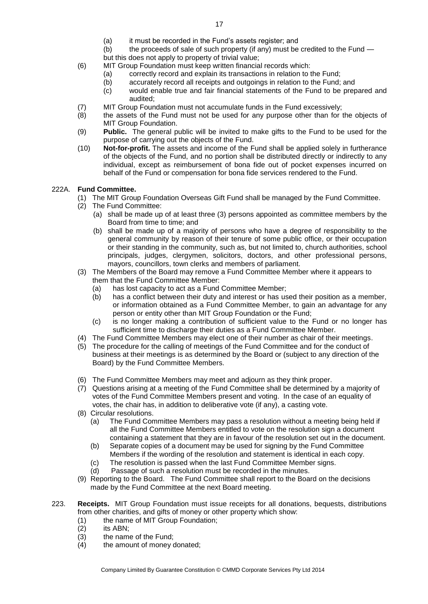- (a) it must be recorded in the Fund's assets register; and
- (b) the proceeds of sale of such property (if any) must be credited to the Fund —

but this does not apply to property of trivial value;

(6) MIT Group Foundation must keep written financial records which:

- (a) correctly record and explain its transactions in relation to the Fund;
- (b) accurately record all receipts and outgoings in relation to the Fund; and
- (c) would enable true and fair financial statements of the Fund to be prepared and audited;
- (7) MIT Group Foundation must not accumulate funds in the Fund excessively;
- (8) the assets of the Fund must not be used for any purpose other than for the objects of MIT Group Foundation.
- (9) **Public.** The general public will be invited to make gifts to the Fund to be used for the purpose of carrying out the objects of the Fund.
- (10) **Not-for-profit.** The assets and income of the Fund shall be applied solely in furtherance of the objects of the Fund, and no portion shall be distributed directly or indirectly to any individual, except as reimbursement of bona fide out of pocket expenses incurred on behalf of the Fund or compensation for bona fide services rendered to the Fund.

#### 222A. **Fund Committee.**

- (1) The MIT Group Foundation Overseas Gift Fund shall be managed by the Fund Committee.
- (2) The Fund Committee:
	- (a) shall be made up of at least three (3) persons appointed as committee members by the Board from time to time; and
	- (b) shall be made up of a majority of persons who have a degree of responsibility to the general community by reason of their tenure of some public office, or their occupation or their standing in the community, such as, but not limited to, church authorities, school principals, judges, clergymen, solicitors, doctors, and other professional persons, mayors, councillors, town clerks and members of parliament.
- (3) The Members of the Board may remove a Fund Committee Member where it appears to them that the Fund Committee Member:
	- (a) has lost capacity to act as a Fund Committee Member;
	- (b) has a conflict between their duty and interest or has used their position as a member, or information obtained as a Fund Committee Member, to gain an advantage for any person or entity other than MIT Group Foundation or the Fund;
	- (c) is no longer making a contribution of sufficient value to the Fund or no longer has sufficient time to discharge their duties as a Fund Committee Member.
- (4) The Fund Committee Members may elect one of their number as chair of their meetings.
- (5) The procedure for the calling of meetings of the Fund Committee and for the conduct of business at their meetings is as determined by the Board or (subject to any direction of the Board) by the Fund Committee Members.
- (6) The Fund Committee Members may meet and adjourn as they think proper.
- (7) Questions arising at a meeting of the Fund Committee shall be determined by a majority of votes of the Fund Committee Members present and voting. In the case of an equality of votes, the chair has, in addition to deliberative vote (if any), a casting vote.
- (8) Circular resolutions.
	- (a) The Fund Committee Members may pass a resolution without a meeting being held if all the Fund Committee Members entitled to vote on the resolution sign a document containing a statement that they are in favour of the resolution set out in the document.
	- (b) Separate copies of a document may be used for signing by the Fund Committee Members if the wording of the resolution and statement is identical in each copy.
	- (c) The resolution is passed when the last Fund Committee Member signs.
	- (d) Passage of such a resolution must be recorded in the minutes.
- (9) Reporting to the Board. The Fund Committee shall report to the Board on the decisions made by the Fund Committee at the next Board meeting.
- 223. **Receipts.** MIT Group Foundation must issue receipts for all donations, bequests, distributions from other charities, and gifts of money or other property which show:
	- (1) the name of MIT Group Foundation;
	- (2) its ABN;
	- (3) the name of the Fund;
	- (4) the amount of money donated;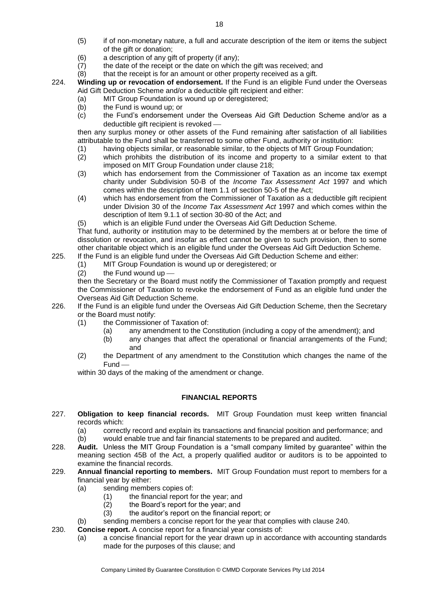- (5) if of non-monetary nature, a full and accurate description of the item or items the subject of the gift or donation;
- (6) a description of any gift of property (if any);
- (7) the date of the receipt or the date on which the gift was received; and
- (8) that the receipt is for an amount or other property received as a gift.
- 224. **Winding up or revocation of endorsement.** If the Fund is an eligible Fund under the Overseas Aid Gift Deduction Scheme and/or a deductible gift recipient and either:
	- (a) MIT Group Foundation is wound up or deregistered;<br>(b) the Fund is wound up: or
	- the Fund is wound up; or
	- (c) the Fund's endorsement under the Overseas Aid Gift Deduction Scheme and/or as a deductible gift recipient is revoked -

then any surplus money or other assets of the Fund remaining after satisfaction of all liabilities attributable to the Fund shall be transferred to some other Fund, authority or institution:

- (1) having objects similar, or reasonable similar, to the objects of MIT Group Foundation;
- (2) which prohibits the distribution of its income and property to a similar extent to that imposed on MIT Group Foundation under clause 218;
- (3) which has endorsement from the Commissioner of Taxation as an income tax exempt charity under Subdivision 50-B of the *Income Tax Assessment Act* 1997 and which comes within the description of Item 1.1 of section 50-5 of the Act;
- (4) which has endorsement from the Commissioner of Taxation as a deductible gift recipient under Division 30 of the *Income Tax Assessment Act* 1997 and which comes within the description of Item 9.1.1 of section 30-80 of the Act; and
- (5) which is an eligible Fund under the Overseas Aid Gift Deduction Scheme.

That fund, authority or institution may to be determined by the members at or before the time of dissolution or revocation, and insofar as effect cannot be given to such provision, then to some other charitable object which is an eligible fund under the Overseas Aid Gift Deduction Scheme.

- 225. If the Fund is an eligible fund under the Overseas Aid Gift Deduction Scheme and either:
	- (1) MIT Group Foundation is wound up or deregistered; or
	- $(2)$  the Fund wound up -

then the Secretary or the Board must notify the Commissioner of Taxation promptly and request the Commissioner of Taxation to revoke the endorsement of Fund as an eligible fund under the Overseas Aid Gift Deduction Scheme.

- 226. If the Fund is an eligible fund under the Overseas Aid Gift Deduction Scheme, then the Secretary or the Board must notify:
	- (1) the Commissioner of Taxation of:
		- (a) any amendment to the Constitution (including a copy of the amendment); and
		- (b) any changes that affect the operational or financial arrangements of the Fund; and
	- (2) the Department of any amendment to the Constitution which changes the name of the Fund

within 30 days of the making of the amendment or change.

# **FINANCIAL REPORTS**

- 227. **Obligation to keep financial records.** MIT Group Foundation must keep written financial records which:
	- (a) correctly record and explain its transactions and financial position and performance; and
	- (b) would enable true and fair financial statements to be prepared and audited.
- 228. **Audit.** Unless the MIT Group Foundation is a "small company limited by guarantee" within the meaning section 45B of the Act, a properly qualified auditor or auditors is to be appointed to examine the financial records.
- 229. **Annual financial reporting to members.** MIT Group Foundation must report to members for a financial year by either:
	- (a) sending members copies of:
		- (1) the financial report for the year; and
		- (2) the Board's report for the year; and
		- (3) the auditor's report on the financial report; or
	- (b) sending members a concise report for the year that complies with clause 240.
- 230. **Concise report.** A concise report for a financial year consists of:
	- (a) a concise financial report for the year drawn up in accordance with accounting standards made for the purposes of this clause; and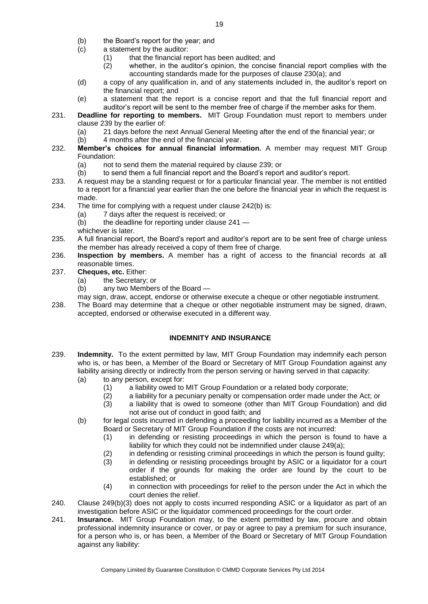- (b) the Board's report for the year; and
- (c) a statement by the auditor:
	- (1) that the financial report has been audited; and
	- (2) whether, in the auditor's opinion, the concise financial report complies with the accounting standards made for the purposes of clause 230(a); and
- (d) a copy of any qualification in, and of any statements included in, the auditor's report on the financial report; and
- (e) a statement that the report is a concise report and that the full financial report and auditor's report will be sent to the member free of charge if the member asks for them.
- 231. **Deadline for reporting to members.** MIT Group Foundation must report to members under clause 239 by the earlier of:
	- (a) 21 days before the next Annual General Meeting after the end of the financial year; or
	- (b) 4 months after the end of the financial year.
- 232. **Member's choices for annual financial information.** A member may request MIT Group Foundation:
	- (a) not to send them the material required by clause 239; or
	- (b) to send them a full financial report and the Board's report and auditor's report.
- 233. A request may be a standing request or for a particular financial year. The member is not entitled to a report for a financial year earlier than the one before the financial year in which the request is made.
- 234. The time for complying with a request under clause 242(b) is:
	- (a) 7 days after the request is received; or
	- (b) the deadline for reporting under clause 241 —
	- whichever is later.
- 235. A full financial report, the Board's report and auditor's report are to be sent free of charge unless the member has already received a copy of them free of charge.
- 236. **Inspection by members.** A member has a right of access to the financial records at all reasonable times.
- 237. **Cheques, etc.** Either:
	- (a) the Secretary; or<br>(b) any two Members
	- any two Members of the Board —
	- may sign, draw, accept, endorse or otherwise execute a cheque or other negotiable instrument.
- 238. The Board may determine that a cheque or other negotiable instrument may be signed, drawn, accepted, endorsed or otherwise executed in a different way.

# **INDEMNITY AND INSURANCE**

- 239. **Indemnity.** To the extent permitted by law, MIT Group Foundation may indemnify each person who is, or has been, a Member of the Board or Secretary of MIT Group Foundation against any liability arising directly or indirectly from the person serving or having served in that capacity:
	- (a) to any person, except for:
		- (1) a liability owed to MIT Group Foundation or a related body corporate;
		- (2) a liability for a pecuniary penalty or compensation order made under the Act; or
		- (3) a liability that is owed to someone (other than MIT Group Foundation) and did not arise out of conduct in good faith; and
	- (b) for legal costs incurred in defending a proceeding for liability incurred as a Member of the Board or Secretary of MIT Group Foundation if the costs are not incurred:
		- (1) in defending or resisting proceedings in which the person is found to have a liability for which they could not be indemnified under clause 249(a);
		- (2) in defending or resisting criminal proceedings in which the person is found guilty;<br>(3) in defending or resisting proceedings brought by ASIC or a liquidator for a court
		- in defending or resisting proceedings brought by ASIC or a liquidator for a court order if the grounds for making the order are found by the court to be established; or
		- (4) in connection with proceedings for relief to the person under the Act in which the court denies the relief.
- 240. Clause 249(b)(3) does not apply to costs incurred responding ASIC or a liquidator as part of an investigation before ASIC or the liquidator commenced proceedings for the court order.
- 241. **Insurance.** MIT Group Foundation may, to the extent permitted by law, procure and obtain professional indemnity insurance or cover, or pay or agree to pay a premium for such insurance, for a person who is, or has been, a Member of the Board or Secretary of MIT Group Foundation against any liability: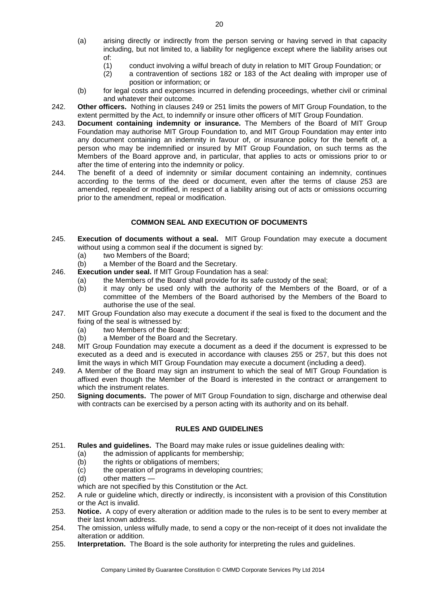- (a) arising directly or indirectly from the person serving or having served in that capacity including, but not limited to, a liability for negligence except where the liability arises out of:
	- (1) conduct involving a wilful breach of duty in relation to MIT Group Foundation; or
	- (2) a contravention of sections 182 or 183 of the Act dealing with improper use of position or information; or
- (b) for legal costs and expenses incurred in defending proceedings, whether civil or criminal and whatever their outcome.
- 242. **Other officers.** Nothing in clauses 249 or 251 limits the powers of MIT Group Foundation, to the extent permitted by the Act, to indemnify or insure other officers of MIT Group Foundation.
- 243. **Document containing indemnity or insurance.** The Members of the Board of MIT Group Foundation may authorise MIT Group Foundation to, and MIT Group Foundation may enter into any document containing an indemnity in favour of, or insurance policy for the benefit of, a person who may be indemnified or insured by MIT Group Foundation, on such terms as the Members of the Board approve and, in particular, that applies to acts or omissions prior to or after the time of entering into the indemnity or policy.
- 244. The benefit of a deed of indemnity or similar document containing an indemnity, continues according to the terms of the deed or document, even after the terms of clause 253 are amended, repealed or modified, in respect of a liability arising out of acts or omissions occurring prior to the amendment, repeal or modification.

# **COMMON SEAL AND EXECUTION OF DOCUMENTS**

- 245. **Execution of documents without a seal.** MIT Group Foundation may execute a document without using a common seal if the document is signed by:
	- (a) two Members of the Board;
	- (b) a Member of the Board and the Secretary.
- 246. **Execution under seal.** If MIT Group Foundation has a seal:
	- (a) the Members of the Board shall provide for its safe custody of the seal;
	- (b) it may only be used only with the authority of the Members of the Board, or of a committee of the Members of the Board authorised by the Members of the Board to authorise the use of the seal.
- 247. MIT Group Foundation also may execute a document if the seal is fixed to the document and the fixing of the seal is witnessed by:
	- (a) two Members of the Board;
	- (b) a Member of the Board and the Secretary.
- 248. MIT Group Foundation may execute a document as a deed if the document is expressed to be executed as a deed and is executed in accordance with clauses 255 or 257, but this does not limit the ways in which MIT Group Foundation may execute a document (including a deed).
- 249. A Member of the Board may sign an instrument to which the seal of MIT Group Foundation is affixed even though the Member of the Board is interested in the contract or arrangement to which the instrument relates.
- 250. **Signing documents.** The power of MIT Group Foundation to sign, discharge and otherwise deal with contracts can be exercised by a person acting with its authority and on its behalf.

# **RULES AND GUIDELINES**

- 251. **Rules and guidelines.** The Board may make rules or issue guidelines dealing with:
	- (a) the admission of applicants for membership;
	- (b) the rights or obligations of members;
	- (c) the operation of programs in developing countries;
	- (d) other matters —
	- which are not specified by this Constitution or the Act.
- 252. A rule or guideline which, directly or indirectly, is inconsistent with a provision of this Constitution or the Act is invalid.
- 253. **Notice.** A copy of every alteration or addition made to the rules is to be sent to every member at their last known address.
- 254. The omission, unless wilfully made, to send a copy or the non-receipt of it does not invalidate the alteration or addition.
- 255. **Interpretation.** The Board is the sole authority for interpreting the rules and guidelines.